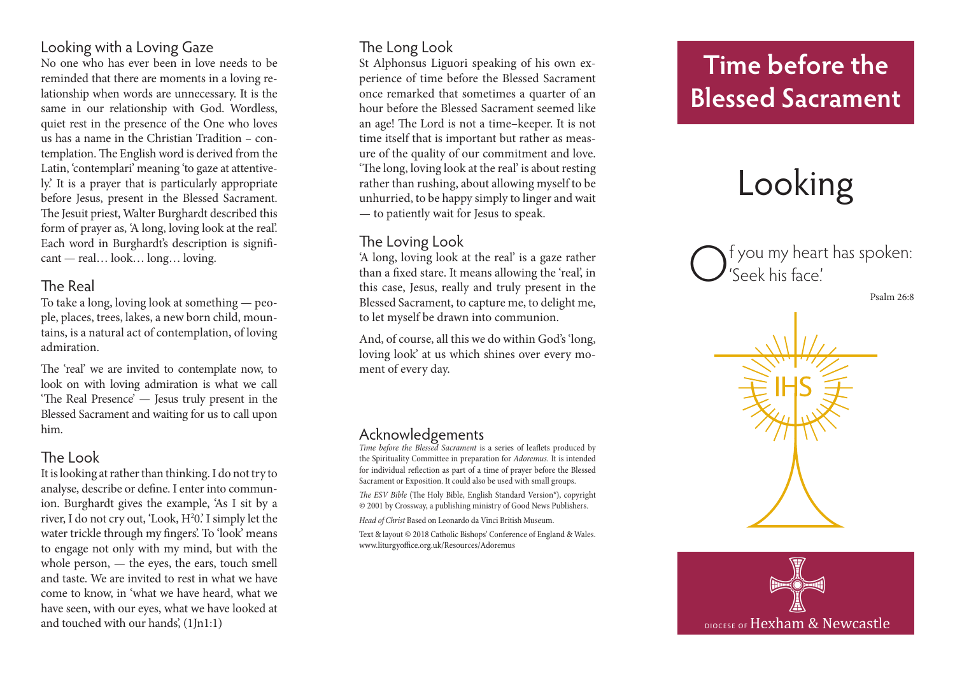## Looking with a Loving Gaze

No one who has ever been in love needs to be reminded that there are moments in a loving re lationship when words are unnecessary. It is the same in our relationship with God. Wordless, quiet rest in the presence of the One who loves us has a name in the Christian Tradition – con templation. The English word is derived from the Latin, 'contemplari' meaning 'to gaze at attentive ly.' It is a prayer that is particularly appropriate before Jesus, present in the Blessed Sacrament. The Jesuit priest, Walter Burghardt described this form of prayer as, 'A long, loving look at the real'. Each word in Burghardt's description is signifi cant — real… look… long… loving.

## The Real

To take a long, loving look at something — peo ple, places, trees, lakes, a new born child, moun tains, is a natural act of contemplation, of loving admiration.

The 'real' we are invited to contemplate now, to look on with loving admiration is what we call 'The Real Presence' — Jesus truly present in the Blessed Sacrament and waiting for us to call upon him.

#### The Look

It is looking at rather than thinking. I do not try to analyse, describe or define. I enter into commun ion. Burghardt gives the example, 'As I sit by a river, I do not cry out, 'Look, H 2 0.' I simply let the water trickle through my fingers'. To 'look' means to engage not only with my mind, but with the whole person, — the eyes, the ears, touch smell and taste. We are invited to rest in what we have come to know, in 'what we have heard, what we have seen, with our eyes, what we have looked at and touched with our hands', (1Jn1:1)

#### The Long Look

St Alphonsus Liguori speaking of his own ex perience of time before the Blessed Sacrament once remarked that sometimes a quarter of an hour before the Blessed Sacrament seemed like an age! The Lord is not a time–keeper. It is not time itself that is important but rather as meas ure of the quality of our commitment and love. 'The long, loving look at the real' is about resting rather than rushing, about allowing myself to be unhurried, to be happy simply to linger and wait — to patiently wait for Jesus to speak.

#### The Loving Look

'A long, loving look at the real' is a gaze rather than a fixed stare. It means allowing the 'real', in this case, Jesus, really and truly present in the Blessed Sacrament, to capture me, to delight me, to let myself be drawn into communion.

And, of course, all this we do within God's 'long, loving look' at us which shines over every mo ment of every day.

#### Acknowledgements

*Time before the Blessed Sacrament* is a series of leaflets produced by the Spirituality Committee in preparation for *Adoremus*. It is intended for individual reflection as part of a time of prayer before the Blessed Sacrament or Exposition. It could also be used with small groups.

*The ESV Bible* (The Holy Bible, English Standard Version®), copyright © 2001 by Crossway, a publishing ministry of Good News Publishers.

*Head of Christ* Based on Leonardo da Vinci British Museum.

Text & layout © 2018 Catholic Bishops' Conference of England & Wales. www.liturgyoffice.org.uk/Resources/Adoremus

# **Time before the Blessed Sacrament**

# Looking

f you my heart has spoken: 'Seek his face.'

Psalm 26:8